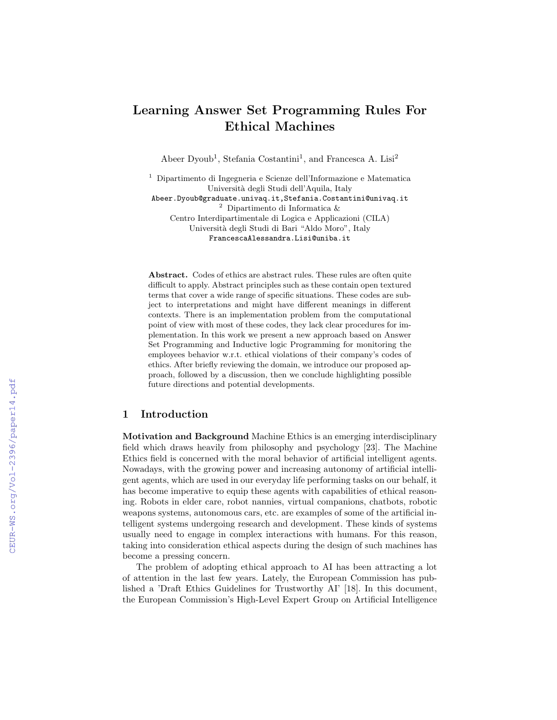# Learning Answer Set Programming Rules For Ethical Machines

Abeer Dyoub<sup>1</sup>, Stefania Costantini<sup>1</sup>, and Francesca A. Lisi<sup>2</sup>

<sup>1</sup> Dipartimento di Ingegneria e Scienze dell'Informazione e Matematica Università degli Studi dell'Aquila, Italy Abeer.Dyoub@graduate.univaq.it,Stefania.Costantini@univaq.it  $^2\,$  Dipartimento di Informatica  $\&$ Centro Interdipartimentale di Logica e Applicazioni (CILA) Università degli Studi di Bari "Aldo Moro", Italy FrancescaAlessandra.Lisi@uniba.it

Abstract. Codes of ethics are abstract rules. These rules are often quite difficult to apply. Abstract principles such as these contain open textured terms that cover a wide range of specific situations. These codes are subject to interpretations and might have different meanings in different contexts. There is an implementation problem from the computational point of view with most of these codes, they lack clear procedures for implementation. In this work we present a new approach based on Answer Set Programming and Inductive logic Programming for monitoring the employees behavior w.r.t. ethical violations of their company's codes of ethics. After briefly reviewing the domain, we introduce our proposed approach, followed by a discussion, then we conclude highlighting possible future directions and potential developments.

# 1 Introduction

Motivation and Background Machine Ethics is an emerging interdisciplinary field which draws heavily from philosophy and psychology [23]. The Machine Ethics field is concerned with the moral behavior of artificial intelligent agents. Nowadays, with the growing power and increasing autonomy of artificial intelligent agents, which are used in our everyday life performing tasks on our behalf, it has become imperative to equip these agents with capabilities of ethical reasoning. Robots in elder care, robot nannies, virtual companions, chatbots, robotic weapons systems, autonomous cars, etc. are examples of some of the artificial intelligent systems undergoing research and development. These kinds of systems usually need to engage in complex interactions with humans. For this reason, taking into consideration ethical aspects during the design of such machines has become a pressing concern.

The problem of adopting ethical approach to AI has been attracting a lot of attention in the last few years. Lately, the European Commission has published a 'Draft Ethics Guidelines for Trustworthy AI' [18]. In this document, the European Commission's High-Level Expert Group on Artificial Intelligence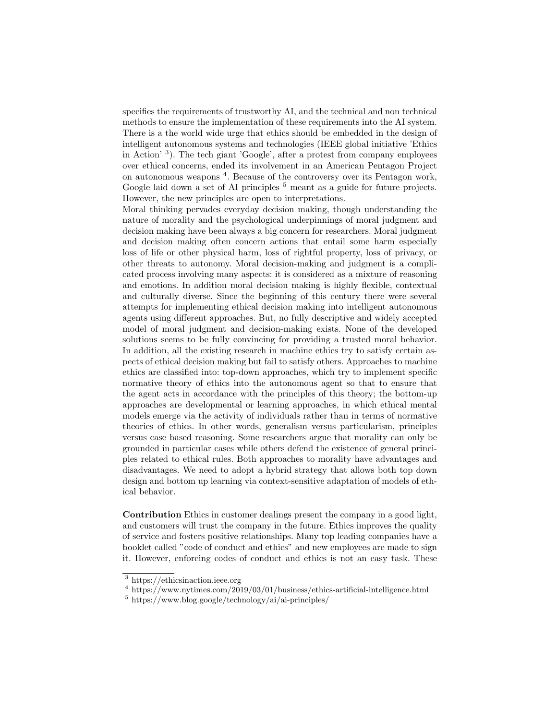specifies the requirements of trustworthy AI, and the technical and non technical methods to ensure the implementation of these requirements into the AI system. There is a the world wide urge that ethics should be embedded in the design of intelligent autonomous systems and technologies (IEEE global initiative 'Ethics in Action' <sup>3</sup> ). The tech giant 'Google', after a protest from company employees over ethical concerns, ended its involvement in an American Pentagon Project on autonomous weapons <sup>4</sup> . Because of the controversy over its Pentagon work, Google laid down a set of AI principles  $5$  meant as a guide for future projects. However, the new principles are open to interpretations.

Moral thinking pervades everyday decision making, though understanding the nature of morality and the psychological underpinnings of moral judgment and decision making have been always a big concern for researchers. Moral judgment and decision making often concern actions that entail some harm especially loss of life or other physical harm, loss of rightful property, loss of privacy, or other threats to autonomy. Moral decision-making and judgment is a complicated process involving many aspects: it is considered as a mixture of reasoning and emotions. In addition moral decision making is highly flexible, contextual and culturally diverse. Since the beginning of this century there were several attempts for implementing ethical decision making into intelligent autonomous agents using different approaches. But, no fully descriptive and widely accepted model of moral judgment and decision-making exists. None of the developed solutions seems to be fully convincing for providing a trusted moral behavior. In addition, all the existing research in machine ethics try to satisfy certain aspects of ethical decision making but fail to satisfy others. Approaches to machine ethics are classified into: top-down approaches, which try to implement specific normative theory of ethics into the autonomous agent so that to ensure that the agent acts in accordance with the principles of this theory; the bottom-up approaches are developmental or learning approaches, in which ethical mental models emerge via the activity of individuals rather than in terms of normative theories of ethics. In other words, generalism versus particularism, principles versus case based reasoning. Some researchers argue that morality can only be grounded in particular cases while others defend the existence of general principles related to ethical rules. Both approaches to morality have advantages and disadvantages. We need to adopt a hybrid strategy that allows both top down design and bottom up learning via context-sensitive adaptation of models of ethical behavior.

Contribution Ethics in customer dealings present the company in a good light, and customers will trust the company in the future. Ethics improves the quality of service and fosters positive relationships. Many top leading companies have a booklet called "code of conduct and ethics" and new employees are made to sign it. However, enforcing codes of conduct and ethics is not an easy task. These

<sup>3</sup> https://ethicsinaction.ieee.org

 $4 \text{ https://www.nvtimes.com/2019/03/01/business/ethics-artificial-intelligence.html}$ 

 $5 \text{ https://www.blog.google/technology/ai/ai-principles/}$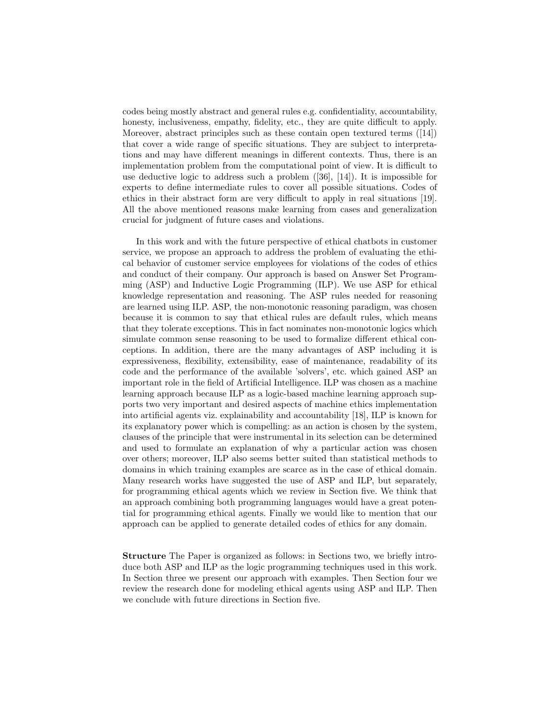codes being mostly abstract and general rules e.g. confidentiality, accountability, honesty, inclusiveness, empathy, fidelity, etc., they are quite difficult to apply. Moreover, abstract principles such as these contain open textured terms ([14]) that cover a wide range of specific situations. They are subject to interpretations and may have different meanings in different contexts. Thus, there is an implementation problem from the computational point of view. It is difficult to use deductive logic to address such a problem ([36], [14]). It is impossible for experts to define intermediate rules to cover all possible situations. Codes of ethics in their abstract form are very difficult to apply in real situations [19]. All the above mentioned reasons make learning from cases and generalization crucial for judgment of future cases and violations.

In this work and with the future perspective of ethical chatbots in customer service, we propose an approach to address the problem of evaluating the ethical behavior of customer service employees for violations of the codes of ethics and conduct of their company. Our approach is based on Answer Set Programming (ASP) and Inductive Logic Programming (ILP). We use ASP for ethical knowledge representation and reasoning. The ASP rules needed for reasoning are learned using ILP. ASP, the non-monotonic reasoning paradigm, was chosen because it is common to say that ethical rules are default rules, which means that they tolerate exceptions. This in fact nominates non-monotonic logics which simulate common sense reasoning to be used to formalize different ethical conceptions. In addition, there are the many advantages of ASP including it is expressiveness, flexibility, extensibility, ease of maintenance, readability of its code and the performance of the available 'solvers', etc. which gained ASP an important role in the field of Artificial Intelligence. ILP was chosen as a machine learning approach because ILP as a logic-based machine learning approach supports two very important and desired aspects of machine ethics implementation into artificial agents viz. explainability and accountability [18], ILP is known for its explanatory power which is compelling: as an action is chosen by the system, clauses of the principle that were instrumental in its selection can be determined and used to formulate an explanation of why a particular action was chosen over others; moreover, ILP also seems better suited than statistical methods to domains in which training examples are scarce as in the case of ethical domain. Many research works have suggested the use of ASP and ILP, but separately, for programming ethical agents which we review in Section five. We think that an approach combining both programming languages would have a great potential for programming ethical agents. Finally we would like to mention that our approach can be applied to generate detailed codes of ethics for any domain.

Structure The Paper is organized as follows: in Sections two, we briefly introduce both ASP and ILP as the logic programming techniques used in this work. In Section three we present our approach with examples. Then Section four we review the research done for modeling ethical agents using ASP and ILP. Then we conclude with future directions in Section five.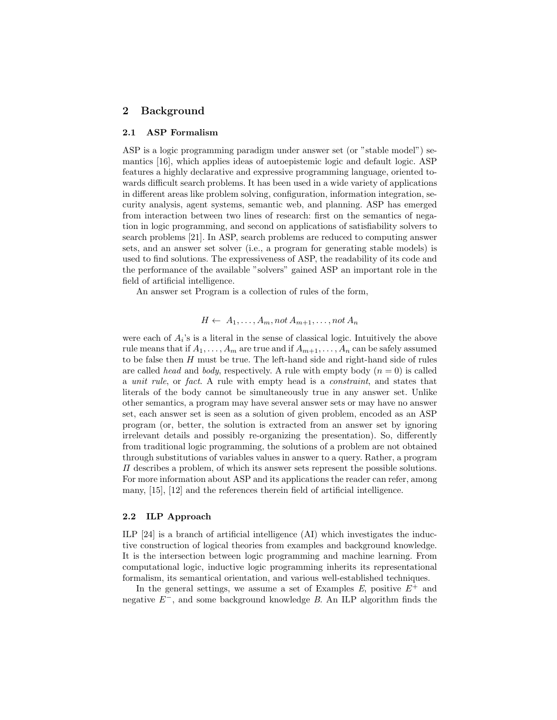## 2 Background

#### 2.1 ASP Formalism

ASP is a logic programming paradigm under answer set (or "stable model") semantics [16], which applies ideas of autoepistemic logic and default logic. ASP features a highly declarative and expressive programming language, oriented towards difficult search problems. It has been used in a wide variety of applications in different areas like problem solving, configuration, information integration, security analysis, agent systems, semantic web, and planning. ASP has emerged from interaction between two lines of research: first on the semantics of negation in logic programming, and second on applications of satisfiability solvers to search problems [21]. In ASP, search problems are reduced to computing answer sets, and an answer set solver (i.e., a program for generating stable models) is used to find solutions. The expressiveness of ASP, the readability of its code and the performance of the available "solvers" gained ASP an important role in the field of artificial intelligence.

An answer set Program is a collection of rules of the form,

$$
H \leftarrow A_1, \ldots, A_m, not A_{m+1}, \ldots, not A_n
$$

were each of  $A_i$ 's is a literal in the sense of classical logic. Intuitively the above rule means that if  $A_1, \ldots, A_m$  are true and if  $A_{m+1}, \ldots, A_n$  can be safely assumed to be false then  $H$  must be true. The left-hand side and right-hand side of rules are called head and body, respectively. A rule with empty body  $(n = 0)$  is called a unit rule, or fact. A rule with empty head is a constraint, and states that literals of the body cannot be simultaneously true in any answer set. Unlike other semantics, a program may have several answer sets or may have no answer set, each answer set is seen as a solution of given problem, encoded as an ASP program (or, better, the solution is extracted from an answer set by ignoring irrelevant details and possibly re-organizing the presentation). So, differently from traditional logic programming, the solutions of a problem are not obtained through substitutions of variables values in answer to a query. Rather, a program  $\Pi$  describes a problem, of which its answer sets represent the possible solutions. For more information about ASP and its applications the reader can refer, among many, [15], [12] and the references therein field of artificial intelligence.

#### 2.2 ILP Approach

ILP [24] is a branch of artificial intelligence (AI) which investigates the inductive construction of logical theories from examples and background knowledge. It is the intersection between logic programming and machine learning. From computational logic, inductive logic programming inherits its representational formalism, its semantical orientation, and various well-established techniques.

In the general settings, we assume a set of Examples  $E$ , positive  $E^+$  and negative E<sup>−</sup>, and some background knowledge B. An ILP algorithm finds the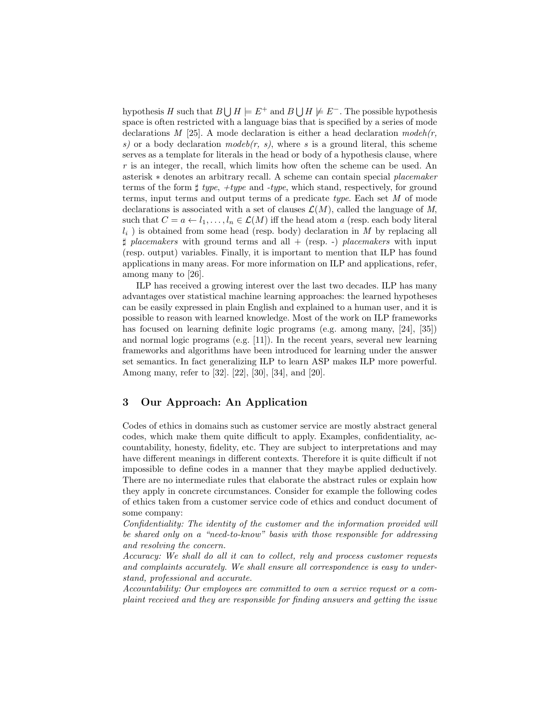hypothesis H such that  $B \cup H \models E^+$  and  $B \cup H \not\models E^-$ . The possible hypothesis space is often restricted with a language bias that is specified by a series of mode declarations M [25]. A mode declaration is either a head declaration mode $h(r,$ s) or a body declaration mode  $(r, s)$ , where s is a ground literal, this scheme serves as a template for literals in the head or body of a hypothesis clause, where r is an integer, the recall, which limits how often the scheme can be used. An asterisk ∗ denotes an arbitrary recall. A scheme can contain special placemaker terms of the form  $\sharp$  type,  $\#type$  and  $\#type$ , which stand, respectively, for ground terms, input terms and output terms of a predicate type. Each set M of mode declarations is associated with a set of clauses  $\mathcal{L}(M)$ , called the language of M, such that  $C = a \leftarrow l_1, \ldots, l_n \in \mathcal{L}(M)$  iff the head atom a (resp. each body literal  $l_i$ ) is obtained from some head (resp. body) declaration in M by replacing all  $\sharp$  placemakers with ground terms and all + (resp. -) placemakers with input (resp. output) variables. Finally, it is important to mention that ILP has found applications in many areas. For more information on ILP and applications, refer, among many to [26].

ILP has received a growing interest over the last two decades. ILP has many advantages over statistical machine learning approaches: the learned hypotheses can be easily expressed in plain English and explained to a human user, and it is possible to reason with learned knowledge. Most of the work on ILP frameworks has focused on learning definite logic programs (e.g. among many, [24], [35]) and normal logic programs (e.g. [11]). In the recent years, several new learning frameworks and algorithms have been introduced for learning under the answer set semantics. In fact generalizing ILP to learn ASP makes ILP more powerful. Among many, refer to [32]. [22], [30], [34], and [20].

# 3 Our Approach: An Application

Codes of ethics in domains such as customer service are mostly abstract general codes, which make them quite difficult to apply. Examples, confidentiality, accountability, honesty, fidelity, etc. They are subject to interpretations and may have different meanings in different contexts. Therefore it is quite difficult if not impossible to define codes in a manner that they maybe applied deductively. There are no intermediate rules that elaborate the abstract rules or explain how they apply in concrete circumstances. Consider for example the following codes of ethics taken from a customer service code of ethics and conduct document of some company:

Confidentiality: The identity of the customer and the information provided will be shared only on a "need-to-know" basis with those responsible for addressing and resolving the concern.

Accuracy: We shall do all it can to collect, rely and process customer requests and complaints accurately. We shall ensure all correspondence is easy to understand, professional and accurate.

Accountability: Our employees are committed to own a service request or a complaint received and they are responsible for finding answers and getting the issue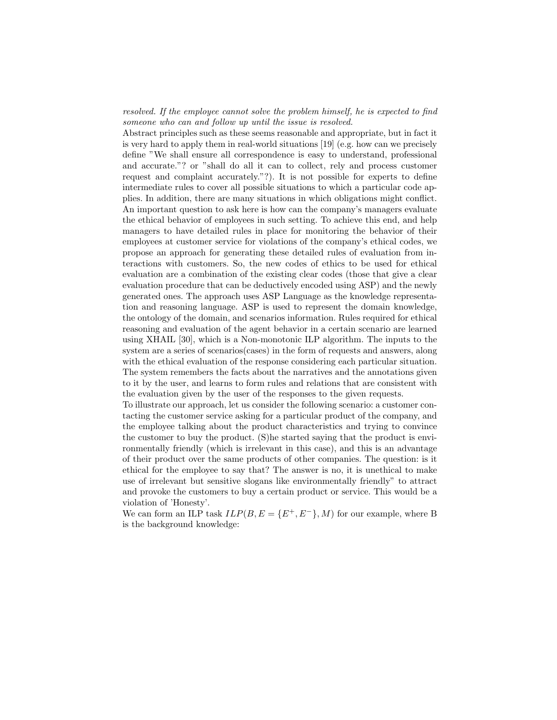resolved. If the employee cannot solve the problem himself, he is expected to find someone who can and follow up until the issue is resolved.

Abstract principles such as these seems reasonable and appropriate, but in fact it is very hard to apply them in real-world situations [19] (e.g. how can we precisely define "We shall ensure all correspondence is easy to understand, professional and accurate."? or "shall do all it can to collect, rely and process customer request and complaint accurately."?). It is not possible for experts to define intermediate rules to cover all possible situations to which a particular code applies. In addition, there are many situations in which obligations might conflict. An important question to ask here is how can the company's managers evaluate the ethical behavior of employees in such setting. To achieve this end, and help managers to have detailed rules in place for monitoring the behavior of their employees at customer service for violations of the company's ethical codes, we propose an approach for generating these detailed rules of evaluation from interactions with customers. So, the new codes of ethics to be used for ethical evaluation are a combination of the existing clear codes (those that give a clear evaluation procedure that can be deductively encoded using ASP) and the newly generated ones. The approach uses ASP Language as the knowledge representation and reasoning language. ASP is used to represent the domain knowledge, the ontology of the domain, and scenarios information. Rules required for ethical reasoning and evaluation of the agent behavior in a certain scenario are learned using XHAIL [30], which is a Non-monotonic ILP algorithm. The inputs to the system are a series of scenarios(cases) in the form of requests and answers, along with the ethical evaluation of the response considering each particular situation. The system remembers the facts about the narratives and the annotations given to it by the user, and learns to form rules and relations that are consistent with the evaluation given by the user of the responses to the given requests.

To illustrate our approach, let us consider the following scenario: a customer contacting the customer service asking for a particular product of the company, and the employee talking about the product characteristics and trying to convince the customer to buy the product. (S)he started saying that the product is environmentally friendly (which is irrelevant in this case), and this is an advantage of their product over the same products of other companies. The question: is it ethical for the employee to say that? The answer is no, it is unethical to make use of irrelevant but sensitive slogans like environmentally friendly" to attract and provoke the customers to buy a certain product or service. This would be a violation of 'Honesty'.

We can form an ILP task  $ILP(B, E = \{E^+, E^-\}, M)$  for our example, where B is the background knowledge: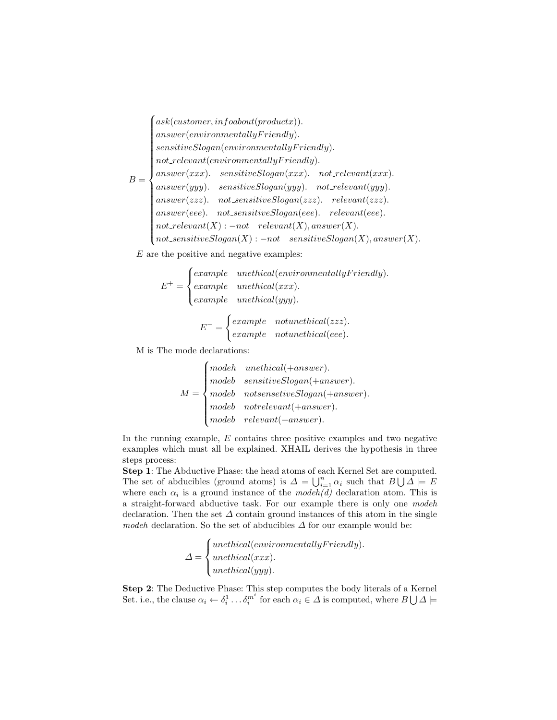$B =$  $\int$  ask(customer, infoabout(productx)).  $\begin{array}{c} \hline \end{array}$  $\begin{array}{c} \hline \end{array}$  $\label{eq:unisotropy} answer (environmentally Friendly).$  $sensitiveSlogan(environmentally Friedly).$  $not\_relevant(environmentally Friendly).$  $answer(xx)$ . sensitive $Slogan(xx)$ . not\_relevant $(xx)$ .  $answer(yyy)$ . sensitive $Slogan(yyy)$ . not\_relevant(yyy).  $answer(zzz)$ . not\_sensitiveSlogan(zzz). relevant(zzz).  $answer(eee)$ . not\_sensitive $Slogan(eee)$ . relevant $(eee)$ .  $not\_relevant(X) : -not\_relevant(X), answer(X).$  $not\_sensitiveSlogan(X) : -not\_sensitiveSlogan(X), answer(X).$ 

E are the positive and negative examples:

$$
E^{+} = \begin{cases} example & method (environmentally Friendly). \\ example & method (xxx). \\ example & method (yyy). \end{cases}
$$

$$
E^- = \begin{cases} example & not unethical(zzz).\\ example & not unethical(eee). \end{cases}
$$

M is The mode declarations:

$$
M = \begin{cases} \textit{model} & \textit{unethical}(+answer). \\ \textit{model} & \textit{sensitiveSlogan}(+answer). \\ \textit{modeb} & \textit{notseinsetiveSlogan}(+answer). \\ \textit{modeb} & \textit{notrelevant}(+answer). \\ \textit{modeb} & \textit{relevant}(+answer). \end{cases}
$$

In the running example,  $E$  contains three positive examples and two negative examples which must all be explained. XHAIL derives the hypothesis in three steps process:

Step 1: The Abductive Phase: the head atoms of each Kernel Set are computed. The set of abducibles (ground atoms) is  $\Delta = \bigcup_{i=1}^n \alpha_i$  such that  $B \bigcup \overline{A} \models E$ where each  $\alpha_i$  is a ground instance of the *modeh(d)* declaration atom. This is a straight-forward abductive task. For our example there is only one modeh declaration. Then the set  $\Delta$  contain ground instances of this atom in the single modeh declaration. So the set of abducibles  $\Delta$  for our example would be:

$$
\Delta = \begin{cases} \text{unethical}(\text{environmentally} \text{Friendly}).\\ \text{unethical}(\text{xxx}).\\ \text{unethical}(\text{yyy}). \end{cases}
$$

Step 2: The Deductive Phase: This step computes the body literals of a Kernel Set. i.e., the clause  $\alpha_i \leftarrow \delta_i^1 \dots \delta_i^{m^i}$  for each  $\alpha_i \in \Delta$  is computed, where  $B \bigcup \Delta \models$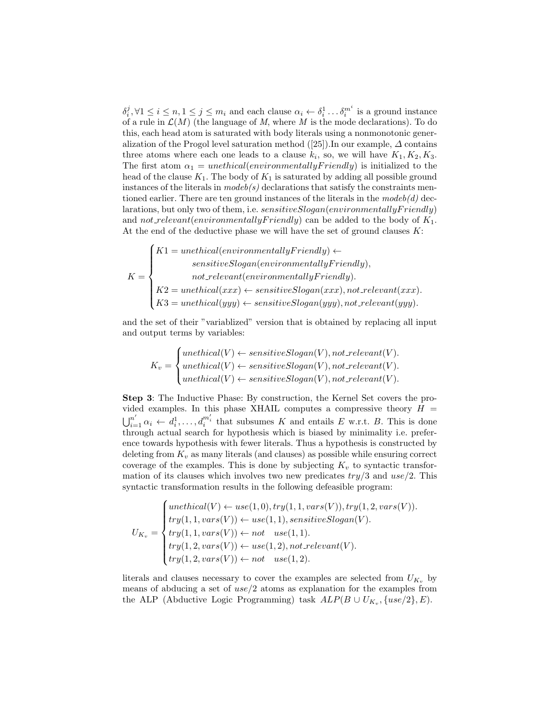$\delta_i^j, \forall 1 \leq i \leq n, 1 \leq j \leq m_i$  and each clause  $\alpha_i \leftarrow \delta_i^1 \dots \delta_i^{m^i}$  is a ground instance of a rule in  $\mathcal{L}(M)$  (the language of M, where M is the mode declarations). To do this, each head atom is saturated with body literals using a nonmonotonic generalization of the Progol level saturation method  $([25])$ . In our example,  $\Delta$  contains three atoms where each one leads to a clause  $k_i$ , so, we will have  $K_1, K_2, K_3$ . The first atom  $\alpha_1 = \text{unethical}(environmentally Friendly)$  is initialized to the head of the clause  $K_1$ . The body of  $K_1$  is saturated by adding all possible ground instances of the literals in  $modeb(s)$  declarations that satisfy the constraints mentioned earlier. There are ten ground instances of the literals in the  $modeb(d)$  declarations, but only two of them, i.e.  $sensitiveSlogen(environmentally Friendly)$ and not relevant (environmentally Friendly) can be added to the body of  $K_1$ . At the end of the deductive phase we will have the set of ground clauses  $K$ :

$$
K = \begin{cases} K1 = \text{unethical}(\text{environmentally} \text{F} \text{riendly}) \leftarrow \\ \text{sensitiveSlogan}(\text{environmentally} \text{F} \text{riendly}), \\ \text{not-relevant}(\text{environmentally} \text{F} \text{riendly}). \\ K2 = \text{unethical}(xxx) \leftarrow \text{sensitiveSlogan}(xxx), \text{not-relevant}(xxx). \\ K3 = \text{unethical}(yyy) \leftarrow \text{sensitiveSlogan}(yyy), \text{not-relevant}(yyy). \end{cases}
$$

and the set of their "variablized" version that is obtained by replacing all input and output terms by variables:

$$
K_v = \begin{cases} \text{unethical}(V) \leftarrow \text{sensitiveSlogan}(V), \text{not\_relevant}(V).\\ \text{unethical}(V) \leftarrow \text{sensitiveSlogan}(V), \text{not\_relevant}(V).\\ \text{unethical}(V) \leftarrow \text{sensitiveSlogan}(V), \text{not\_relevant}(V). \end{cases}
$$

Step 3: The Inductive Phase: By construction, the Kernel Set covers the provided examples. In this phase XHAIL computes a compressive theory  $H =$  $\bigcup_{i=1}^{n'} \alpha_i \leftarrow d_i^1, \ldots, d_i^{m_i'}$  that subsumes K and entails E w.r.t. B. This is done through actual search for hypothesis which is biased by minimality i.e. preference towards hypothesis with fewer literals. Thus a hypothesis is constructed by deleting from  $K_v$  as many literals (and clauses) as possible while ensuring correct coverage of the examples. This is done by subjecting  $K_v$  to syntactic transformation of its clauses which involves two new predicates  $try/3$  and  $use/2$ . This syntactic transformation results in the following defeasible program:

$$
U_{K_v} = \begin{cases} \text{unethical}(V) \leftarrow \text{use}(1,0), \text{try}(1,1,\text{vars}(V)), \text{try}(1,2,\text{vars}(V)).\\ \text{try}(1,1,\text{vars}(V)) \leftarrow \text{use}(1,1), \text{sensitiveSlogan}(V).\\ \text{try}(1,1,\text{vars}(V)) \leftarrow \text{not} \quad \text{use}(1,1).\\ \text{try}(1,2,\text{vars}(V)) \leftarrow \text{use}(1,2), \text{not-relevant}(V).\\ \text{try}(1,2,\text{vars}(V)) \leftarrow \text{not} \quad \text{use}(1,2). \end{cases}
$$

literals and clauses necessary to cover the examples are selected from  $U_{K_v}$  by means of abducing a set of  $use/2$  atoms as explanation for the examples from the ALP (Abductive Logic Programming) task  $ALP(B \cup U_{K_v}, \{use/2\}, E)$ .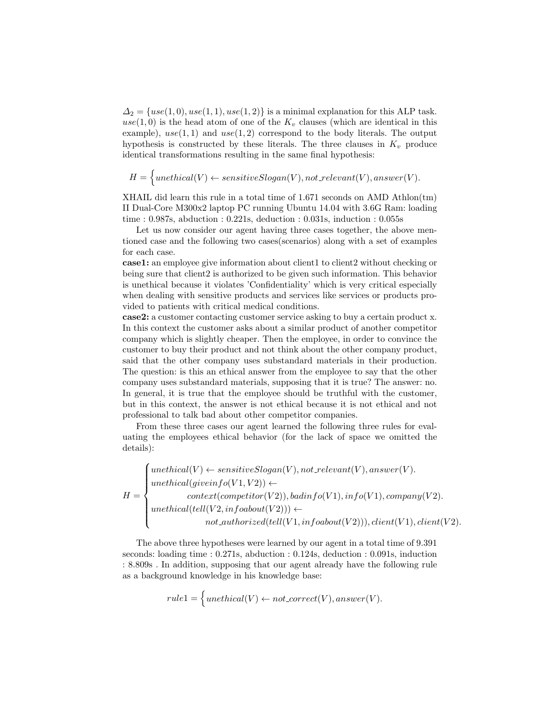$\Delta_2 = \{use(1,0), use(1,1), use(1,2)\}\$ is a minimal explanation for this ALP task. use(1,0) is the head atom of one of the  $K_v$  clauses (which are identical in this example),  $use(1, 1)$  and  $use(1, 2)$  correspond to the body literals. The output hypothesis is constructed by these literals. The three clauses in  $K_v$  produce identical transformations resulting in the same final hypothesis:

$$
H = \Big\{unethical(V) \leftarrow sensitiveSlogan(V), not\_relevant(V), answer(V).
$$

XHAIL did learn this rule in a total time of 1.671 seconds on AMD Athlon(tm) II Dual-Core M300x2 laptop PC running Ubuntu 14.04 with 3.6G Ram: loading time : 0.987s, abduction : 0.221s, deduction : 0.031s, induction : 0.055s

Let us now consider our agent having three cases together, the above mentioned case and the following two cases(scenarios) along with a set of examples for each case.

case1: an employee give information about client1 to client2 without checking or being sure that client2 is authorized to be given such information. This behavior is unethical because it violates 'Confidentiality' which is very critical especially when dealing with sensitive products and services like services or products provided to patients with critical medical conditions.

case2: a customer contacting customer service asking to buy a certain product x. In this context the customer asks about a similar product of another competitor company which is slightly cheaper. Then the employee, in order to convince the customer to buy their product and not think about the other company product, said that the other company uses substandard materials in their production. The question: is this an ethical answer from the employee to say that the other company uses substandard materials, supposing that it is true? The answer: no. In general, it is true that the employee should be truthful with the customer, but in this context, the answer is not ethical because it is not ethical and not professional to talk bad about other competitor companies.

From these three cases our agent learned the following three rules for evaluating the employees ethical behavior (for the lack of space we omitted the details):

$$
H = \begin{cases} \text{unethical}(V) \leftarrow \text{sensitiveSlogan}(V), \text{not-relevant}(V), \text{answer}(V).\\ \text{unethical}( \text{givenfo}(V1, V2)) \leftarrow \\ \text{context}( \text{competitive}(V2)), \text{badinfo}(V1), \text{info}(V1), \text{company}(V2).\\ \text{unethical}( \text{tell}(V2, \text{infoabout}(V2))) \leftarrow \\ \text{not\_authorized}( \text{tell}(V1, \text{infoabout}(V2))), \text{client}(V1), \text{client}(V2). \end{cases}
$$

The above three hypotheses were learned by our agent in a total time of 9.391 seconds: loading time : 0.271s, abduction : 0.124s, deduction : 0.091s, induction : 8.809s . In addition, supposing that our agent already have the following rule as a background knowledge in his knowledge base:

$$
rule1 = \bigg\{unethical(V) \leftarrow not \_correct(V), answer(V).
$$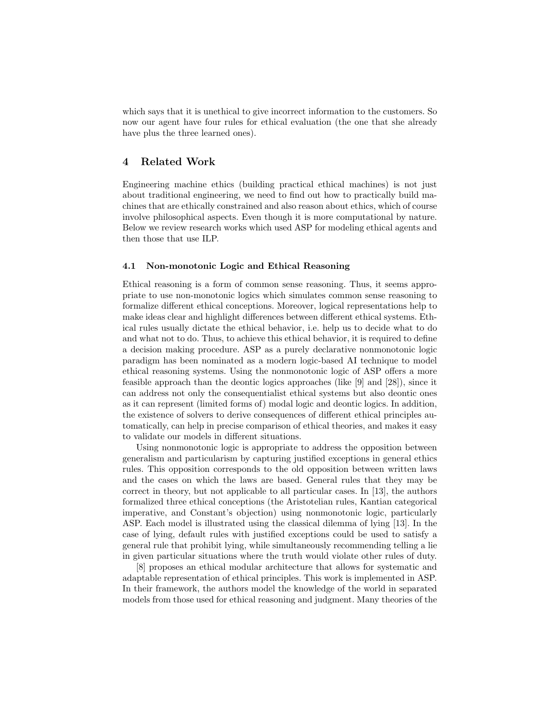which says that it is unethical to give incorrect information to the customers. So now our agent have four rules for ethical evaluation (the one that she already have plus the three learned ones).

## 4 Related Work

Engineering machine ethics (building practical ethical machines) is not just about traditional engineering, we need to find out how to practically build machines that are ethically constrained and also reason about ethics, which of course involve philosophical aspects. Even though it is more computational by nature. Below we review research works which used ASP for modeling ethical agents and then those that use ILP.

#### 4.1 Non-monotonic Logic and Ethical Reasoning

Ethical reasoning is a form of common sense reasoning. Thus, it seems appropriate to use non-monotonic logics which simulates common sense reasoning to formalize different ethical conceptions. Moreover, logical representations help to make ideas clear and highlight differences between different ethical systems. Ethical rules usually dictate the ethical behavior, i.e. help us to decide what to do and what not to do. Thus, to achieve this ethical behavior, it is required to define a decision making procedure. ASP as a purely declarative nonmonotonic logic paradigm has been nominated as a modern logic-based AI technique to model ethical reasoning systems. Using the nonmonotonic logic of ASP offers a more feasible approach than the deontic logics approaches (like [9] and [28]), since it can address not only the consequentialist ethical systems but also deontic ones as it can represent (limited forms of) modal logic and deontic logics. In addition, the existence of solvers to derive consequences of different ethical principles automatically, can help in precise comparison of ethical theories, and makes it easy to validate our models in different situations.

Using nonmonotonic logic is appropriate to address the opposition between generalism and particularism by capturing justified exceptions in general ethics rules. This opposition corresponds to the old opposition between written laws and the cases on which the laws are based. General rules that they may be correct in theory, but not applicable to all particular cases. In [13], the authors formalized three ethical conceptions (the Aristotelian rules, Kantian categorical imperative, and Constant's objection) using nonmonotonic logic, particularly ASP. Each model is illustrated using the classical dilemma of lying [13]. In the case of lying, default rules with justified exceptions could be used to satisfy a general rule that prohibit lying, while simultaneously recommending telling a lie in given particular situations where the truth would violate other rules of duty.

[8] proposes an ethical modular architecture that allows for systematic and adaptable representation of ethical principles. This work is implemented in ASP. In their framework, the authors model the knowledge of the world in separated models from those used for ethical reasoning and judgment. Many theories of the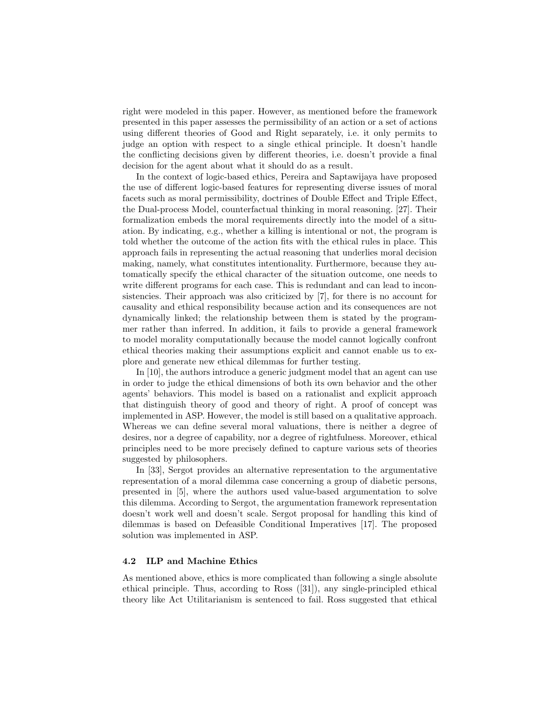right were modeled in this paper. However, as mentioned before the framework presented in this paper assesses the permissibility of an action or a set of actions using different theories of Good and Right separately, i.e. it only permits to judge an option with respect to a single ethical principle. It doesn't handle the conflicting decisions given by different theories, i.e. doesn't provide a final decision for the agent about what it should do as a result.

In the context of logic-based ethics, Pereira and Saptawijaya have proposed the use of different logic-based features for representing diverse issues of moral facets such as moral permissibility, doctrines of Double Effect and Triple Effect, the Dual-process Model, counterfactual thinking in moral reasoning. [27]. Their formalization embeds the moral requirements directly into the model of a situation. By indicating, e.g., whether a killing is intentional or not, the program is told whether the outcome of the action fits with the ethical rules in place. This approach fails in representing the actual reasoning that underlies moral decision making, namely, what constitutes intentionality. Furthermore, because they automatically specify the ethical character of the situation outcome, one needs to write different programs for each case. This is redundant and can lead to inconsistencies. Their approach was also criticized by [7], for there is no account for causality and ethical responsibility because action and its consequences are not dynamically linked; the relationship between them is stated by the programmer rather than inferred. In addition, it fails to provide a general framework to model morality computationally because the model cannot logically confront ethical theories making their assumptions explicit and cannot enable us to explore and generate new ethical dilemmas for further testing.

In [10], the authors introduce a generic judgment model that an agent can use in order to judge the ethical dimensions of both its own behavior and the other agents' behaviors. This model is based on a rationalist and explicit approach that distinguish theory of good and theory of right. A proof of concept was implemented in ASP. However, the model is still based on a qualitative approach. Whereas we can define several moral valuations, there is neither a degree of desires, nor a degree of capability, nor a degree of rightfulness. Moreover, ethical principles need to be more precisely defined to capture various sets of theories suggested by philosophers.

In [33], Sergot provides an alternative representation to the argumentative representation of a moral dilemma case concerning a group of diabetic persons, presented in [5], where the authors used value-based argumentation to solve this dilemma. According to Sergot, the argumentation framework representation doesn't work well and doesn't scale. Sergot proposal for handling this kind of dilemmas is based on Defeasible Conditional Imperatives [17]. The proposed solution was implemented in ASP.

#### 4.2 ILP and Machine Ethics

As mentioned above, ethics is more complicated than following a single absolute ethical principle. Thus, according to Ross ([31]), any single-principled ethical theory like Act Utilitarianism is sentenced to fail. Ross suggested that ethical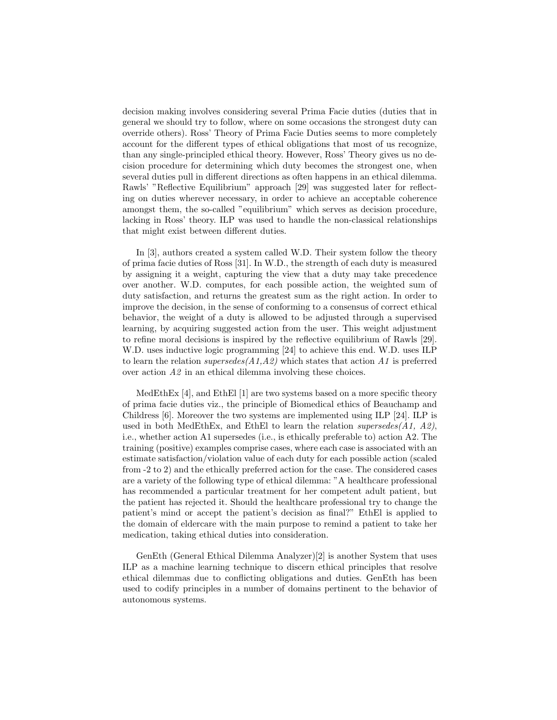decision making involves considering several Prima Facie duties (duties that in general we should try to follow, where on some occasions the strongest duty can override others). Ross' Theory of Prima Facie Duties seems to more completely account for the different types of ethical obligations that most of us recognize, than any single-principled ethical theory. However, Ross' Theory gives us no decision procedure for determining which duty becomes the strongest one, when several duties pull in different directions as often happens in an ethical dilemma. Rawls' "Reflective Equilibrium" approach [29] was suggested later for reflecting on duties wherever necessary, in order to achieve an acceptable coherence amongst them, the so-called "equilibrium" which serves as decision procedure, lacking in Ross' theory. ILP was used to handle the non-classical relationships that might exist between different duties.

In [3], authors created a system called W.D. Their system follow the theory of prima facie duties of Ross [31]. In W.D., the strength of each duty is measured by assigning it a weight, capturing the view that a duty may take precedence over another. W.D. computes, for each possible action, the weighted sum of duty satisfaction, and returns the greatest sum as the right action. In order to improve the decision, in the sense of conforming to a consensus of correct ethical behavior, the weight of a duty is allowed to be adjusted through a supervised learning, by acquiring suggested action from the user. This weight adjustment to refine moral decisions is inspired by the reflective equilibrium of Rawls [29]. W.D. uses inductive logic programming [24] to achieve this end. W.D. uses ILP to learn the relation supersedes  $(A1, A2)$  which states that action A1 is preferred over action A2 in an ethical dilemma involving these choices.

MedEthEx [4], and EthEl [1] are two systems based on a more specific theory of prima facie duties viz., the principle of Biomedical ethics of Beauchamp and Childress [6]. Moreover the two systems are implemented using ILP [24]. ILP is used in both MedEthEx, and EthEl to learn the relation supersedes(A1, A2), i.e., whether action A1 supersedes (i.e., is ethically preferable to) action A2. The training (positive) examples comprise cases, where each case is associated with an estimate satisfaction/violation value of each duty for each possible action (scaled from -2 to 2) and the ethically preferred action for the case. The considered cases are a variety of the following type of ethical dilemma: "A healthcare professional has recommended a particular treatment for her competent adult patient, but the patient has rejected it. Should the healthcare professional try to change the patient's mind or accept the patient's decision as final?" EthEl is applied to the domain of eldercare with the main purpose to remind a patient to take her medication, taking ethical duties into consideration.

GenEth (General Ethical Dilemma Analyzer)[2] is another System that uses ILP as a machine learning technique to discern ethical principles that resolve ethical dilemmas due to conflicting obligations and duties. GenEth has been used to codify principles in a number of domains pertinent to the behavior of autonomous systems.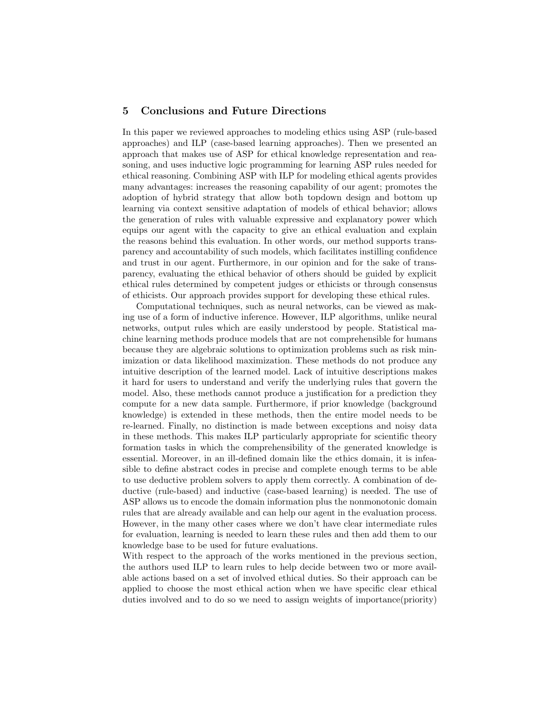## 5 Conclusions and Future Directions

In this paper we reviewed approaches to modeling ethics using ASP (rule-based approaches) and ILP (case-based learning approaches). Then we presented an approach that makes use of ASP for ethical knowledge representation and reasoning, and uses inductive logic programming for learning ASP rules needed for ethical reasoning. Combining ASP with ILP for modeling ethical agents provides many advantages: increases the reasoning capability of our agent; promotes the adoption of hybrid strategy that allow both topdown design and bottom up learning via context sensitive adaptation of models of ethical behavior; allows the generation of rules with valuable expressive and explanatory power which equips our agent with the capacity to give an ethical evaluation and explain the reasons behind this evaluation. In other words, our method supports transparency and accountability of such models, which facilitates instilling confidence and trust in our agent. Furthermore, in our opinion and for the sake of transparency, evaluating the ethical behavior of others should be guided by explicit ethical rules determined by competent judges or ethicists or through consensus of ethicists. Our approach provides support for developing these ethical rules.

Computational techniques, such as neural networks, can be viewed as making use of a form of inductive inference. However, ILP algorithms, unlike neural networks, output rules which are easily understood by people. Statistical machine learning methods produce models that are not comprehensible for humans because they are algebraic solutions to optimization problems such as risk minimization or data likelihood maximization. These methods do not produce any intuitive description of the learned model. Lack of intuitive descriptions makes it hard for users to understand and verify the underlying rules that govern the model. Also, these methods cannot produce a justification for a prediction they compute for a new data sample. Furthermore, if prior knowledge (background knowledge) is extended in these methods, then the entire model needs to be re-learned. Finally, no distinction is made between exceptions and noisy data in these methods. This makes ILP particularly appropriate for scientific theory formation tasks in which the comprehensibility of the generated knowledge is essential. Moreover, in an ill-defined domain like the ethics domain, it is infeasible to define abstract codes in precise and complete enough terms to be able to use deductive problem solvers to apply them correctly. A combination of deductive (rule-based) and inductive (case-based learning) is needed. The use of ASP allows us to encode the domain information plus the nonmonotonic domain rules that are already available and can help our agent in the evaluation process. However, in the many other cases where we don't have clear intermediate rules for evaluation, learning is needed to learn these rules and then add them to our knowledge base to be used for future evaluations.

With respect to the approach of the works mentioned in the previous section, the authors used ILP to learn rules to help decide between two or more available actions based on a set of involved ethical duties. So their approach can be applied to choose the most ethical action when we have specific clear ethical duties involved and to do so we need to assign weights of importance(priority)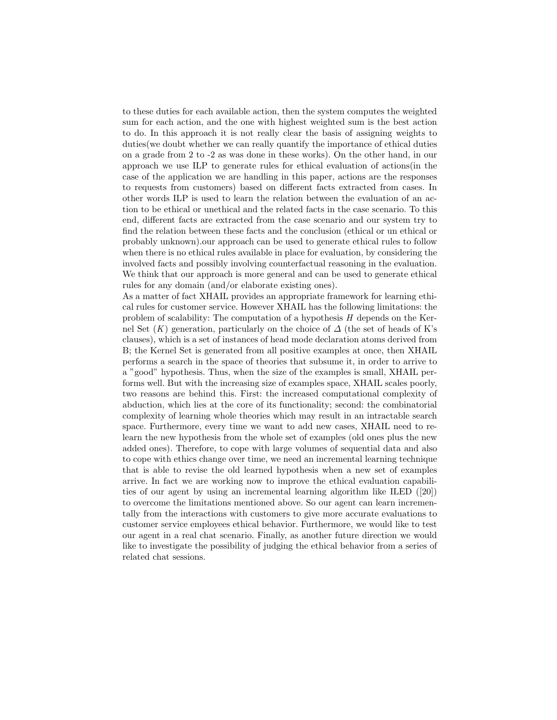to these duties for each available action, then the system computes the weighted sum for each action, and the one with highest weighted sum is the best action to do. In this approach it is not really clear the basis of assigning weights to duties(we doubt whether we can really quantify the importance of ethical duties on a grade from 2 to -2 as was done in these works). On the other hand, in our approach we use ILP to generate rules for ethical evaluation of actions(in the case of the application we are handling in this paper, actions are the responses to requests from customers) based on different facts extracted from cases. In other words ILP is used to learn the relation between the evaluation of an action to be ethical or unethical and the related facts in the case scenario. To this end, different facts are extracted from the case scenario and our system try to find the relation between these facts and the conclusion (ethical or un ethical or probably unknown).our approach can be used to generate ethical rules to follow when there is no ethical rules available in place for evaluation, by considering the involved facts and possibly involving counterfactual reasoning in the evaluation. We think that our approach is more general and can be used to generate ethical rules for any domain (and/or elaborate existing ones).

As a matter of fact XHAIL provides an appropriate framework for learning ethical rules for customer service. However XHAIL has the following limitations: the problem of scalability: The computation of a hypothesis  $H$  depends on the Kernel Set  $(K)$  generation, particularly on the choice of  $\Delta$  (the set of heads of K's clauses), which is a set of instances of head mode declaration atoms derived from B; the Kernel Set is generated from all positive examples at once, then XHAIL performs a search in the space of theories that subsume it, in order to arrive to a "good" hypothesis. Thus, when the size of the examples is small, XHAIL performs well. But with the increasing size of examples space, XHAIL scales poorly, two reasons are behind this. First: the increased computational complexity of abduction, which lies at the core of its functionality; second: the combinatorial complexity of learning whole theories which may result in an intractable search space. Furthermore, every time we want to add new cases, XHAIL need to relearn the new hypothesis from the whole set of examples (old ones plus the new added ones). Therefore, to cope with large volumes of sequential data and also to cope with ethics change over time, we need an incremental learning technique that is able to revise the old learned hypothesis when a new set of examples arrive. In fact we are working now to improve the ethical evaluation capabilities of our agent by using an incremental learning algorithm like ILED ([20]) to overcome the limitations mentioned above. So our agent can learn incrementally from the interactions with customers to give more accurate evaluations to customer service employees ethical behavior. Furthermore, we would like to test our agent in a real chat scenario. Finally, as another future direction we would like to investigate the possibility of judging the ethical behavior from a series of related chat sessions.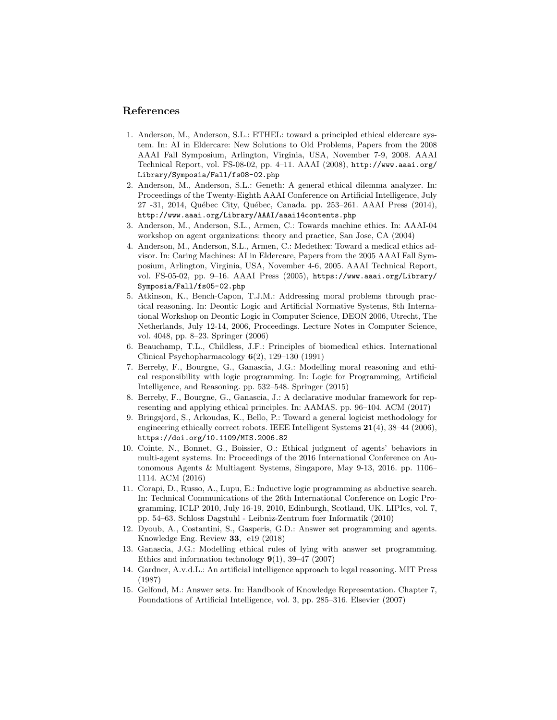#### References

- 1. Anderson, M., Anderson, S.L.: ETHEL: toward a principled ethical eldercare system. In: AI in Eldercare: New Solutions to Old Problems, Papers from the 2008 AAAI Fall Symposium, Arlington, Virginia, USA, November 7-9, 2008. AAAI Technical Report, vol. FS-08-02, pp. 4–11. AAAI (2008), http://www.aaai.org/ Library/Symposia/Fall/fs08-02.php
- 2. Anderson, M., Anderson, S.L.: Geneth: A general ethical dilemma analyzer. In: Proceedings of the Twenty-Eighth AAAI Conference on Artificial Intelligence, July 27 -31, 2014, Québec City, Québec, Canada. pp. 253–261. AAAI Press (2014), http://www.aaai.org/Library/AAAI/aaai14contents.php
- 3. Anderson, M., Anderson, S.L., Armen, C.: Towards machine ethics. In: AAAI-04 workshop on agent organizations: theory and practice, San Jose, CA (2004)
- 4. Anderson, M., Anderson, S.L., Armen, C.: Medethex: Toward a medical ethics advisor. In: Caring Machines: AI in Eldercare, Papers from the 2005 AAAI Fall Symposium, Arlington, Virginia, USA, November 4-6, 2005. AAAI Technical Report, vol. FS-05-02, pp. 9–16. AAAI Press (2005), https://www.aaai.org/Library/ Symposia/Fall/fs05-02.php
- 5. Atkinson, K., Bench-Capon, T.J.M.: Addressing moral problems through practical reasoning. In: Deontic Logic and Artificial Normative Systems, 8th International Workshop on Deontic Logic in Computer Science, DEON 2006, Utrecht, The Netherlands, July 12-14, 2006, Proceedings. Lecture Notes in Computer Science, vol. 4048, pp. 8–23. Springer (2006)
- 6. Beauchamp, T.L., Childless, J.F.: Principles of biomedical ethics. International Clinical Psychopharmacology 6(2), 129–130 (1991)
- 7. Berreby, F., Bourgne, G., Ganascia, J.G.: Modelling moral reasoning and ethical responsibility with logic programming. In: Logic for Programming, Artificial Intelligence, and Reasoning. pp. 532–548. Springer (2015)
- 8. Berreby, F., Bourgne, G., Ganascia, J.: A declarative modular framework for representing and applying ethical principles. In: AAMAS. pp. 96–104. ACM (2017)
- 9. Bringsjord, S., Arkoudas, K., Bello, P.: Toward a general logicist methodology for engineering ethically correct robots. IEEE Intelligent Systems 21(4), 38–44 (2006), https://doi.org/10.1109/MIS.2006.82
- 10. Cointe, N., Bonnet, G., Boissier, O.: Ethical judgment of agents' behaviors in multi-agent systems. In: Proceedings of the 2016 International Conference on Autonomous Agents & Multiagent Systems, Singapore, May 9-13, 2016. pp. 1106– 1114. ACM (2016)
- 11. Corapi, D., Russo, A., Lupu, E.: Inductive logic programming as abductive search. In: Technical Communications of the 26th International Conference on Logic Programming, ICLP 2010, July 16-19, 2010, Edinburgh, Scotland, UK. LIPIcs, vol. 7, pp. 54–63. Schloss Dagstuhl - Leibniz-Zentrum fuer Informatik (2010)
- 12. Dyoub, A., Costantini, S., Gasperis, G.D.: Answer set programming and agents. Knowledge Eng. Review 33, e19 (2018)
- 13. Ganascia, J.G.: Modelling ethical rules of lying with answer set programming. Ethics and information technology  $9(1)$ , 39–47 (2007)
- 14. Gardner, A.v.d.L.: An artificial intelligence approach to legal reasoning. MIT Press (1987)
- 15. Gelfond, M.: Answer sets. In: Handbook of Knowledge Representation. Chapter 7, Foundations of Artificial Intelligence, vol. 3, pp. 285–316. Elsevier (2007)